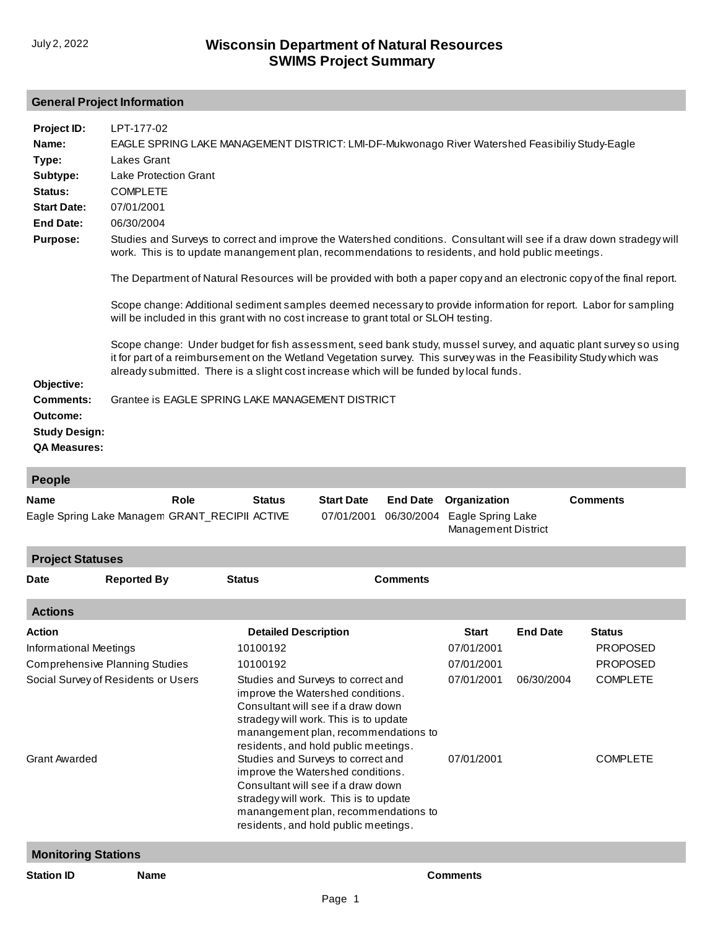#### **General Project Information**

| Project ID:<br>Name:                                                                                                                                                                                                                                | LPT-177-02<br>EAGLE SPRING LAKE MANAGEMENT DISTRICT: LMI-DF-Mukwonago River Watershed Feasibiliy Study-Eagle                                                                                                                                                                                                                        |                                                                                                                                                                                                |                                 |                               |                                                          |                 |                 |  |
|-----------------------------------------------------------------------------------------------------------------------------------------------------------------------------------------------------------------------------------------------------|-------------------------------------------------------------------------------------------------------------------------------------------------------------------------------------------------------------------------------------------------------------------------------------------------------------------------------------|------------------------------------------------------------------------------------------------------------------------------------------------------------------------------------------------|---------------------------------|-------------------------------|----------------------------------------------------------|-----------------|-----------------|--|
| Type:<br>Subtype:<br>Status:<br><b>Start Date:</b>                                                                                                                                                                                                  | Lakes Grant<br><b>Lake Protection Grant</b><br><b>COMPLETE</b><br>07/01/2001                                                                                                                                                                                                                                                        |                                                                                                                                                                                                |                                 |                               |                                                          |                 |                 |  |
| <b>End Date:</b>                                                                                                                                                                                                                                    | 06/30/2004                                                                                                                                                                                                                                                                                                                          |                                                                                                                                                                                                |                                 |                               |                                                          |                 |                 |  |
| <b>Purpose:</b>                                                                                                                                                                                                                                     | Studies and Surveys to correct and improve the Watershed conditions. Consultant will see if a draw down stradegy will<br>work. This is to update manangement plan, recommendations to residents, and hold public meetings.                                                                                                          |                                                                                                                                                                                                |                                 |                               |                                                          |                 |                 |  |
|                                                                                                                                                                                                                                                     | The Department of Natural Resources will be provided with both a paper copy and an electronic copy of the final report.                                                                                                                                                                                                             |                                                                                                                                                                                                |                                 |                               |                                                          |                 |                 |  |
|                                                                                                                                                                                                                                                     | Scope change: Additional sediment samples deemed necessary to provide information for report. Labor for sampling<br>will be included in this grant with no cost increase to grant total or SLOH testing.                                                                                                                            |                                                                                                                                                                                                |                                 |                               |                                                          |                 |                 |  |
|                                                                                                                                                                                                                                                     | Scope change: Under budget for fish assessment, seed bank study, mussel survey, and aquatic plant survey so using<br>it for part of a reimbursement on the Wetland Vegetation survey. This survey was in the Feasibility Study which was<br>already submitted. There is a slight cost increase which will be funded by local funds. |                                                                                                                                                                                                |                                 |                               |                                                          |                 |                 |  |
| Objective:<br><b>Comments:</b><br>Outcome:<br><b>Study Design:</b><br><b>QA Measures:</b>                                                                                                                                                           | Grantee is EAGLE SPRING LAKE MANAGEMENT DISTRICT                                                                                                                                                                                                                                                                                    |                                                                                                                                                                                                |                                 |                               |                                                          |                 |                 |  |
| <b>People</b>                                                                                                                                                                                                                                       |                                                                                                                                                                                                                                                                                                                                     |                                                                                                                                                                                                |                                 |                               |                                                          |                 |                 |  |
| Name                                                                                                                                                                                                                                                | Role<br>Eagle Spring Lake Managem GRANT_RECIPII ACTIVE                                                                                                                                                                                                                                                                              | <b>Status</b>                                                                                                                                                                                  | <b>Start Date</b><br>07/01/2001 | <b>End Date</b><br>06/30/2004 | Organization<br>Eagle Spring Lake<br>Management District |                 | <b>Comments</b> |  |
| <b>Project Statuses</b>                                                                                                                                                                                                                             |                                                                                                                                                                                                                                                                                                                                     |                                                                                                                                                                                                |                                 |                               |                                                          |                 |                 |  |
| Date                                                                                                                                                                                                                                                | <b>Reported By</b>                                                                                                                                                                                                                                                                                                                  | <b>Status</b>                                                                                                                                                                                  |                                 | <b>Comments</b>               |                                                          |                 |                 |  |
| <b>Actions</b>                                                                                                                                                                                                                                      |                                                                                                                                                                                                                                                                                                                                     |                                                                                                                                                                                                |                                 |                               |                                                          |                 |                 |  |
| Action                                                                                                                                                                                                                                              |                                                                                                                                                                                                                                                                                                                                     | <b>Detailed Description</b>                                                                                                                                                                    |                                 |                               | <b>Start</b>                                             | <b>End Date</b> | <b>Status</b>   |  |
| <b>Informational Meetings</b>                                                                                                                                                                                                                       |                                                                                                                                                                                                                                                                                                                                     | 10100192                                                                                                                                                                                       |                                 |                               | 07/01/2001                                               |                 | <b>PROPOSED</b> |  |
|                                                                                                                                                                                                                                                     | <b>Comprehensive Planning Studies</b>                                                                                                                                                                                                                                                                                               | 10100192                                                                                                                                                                                       |                                 |                               | 07/01/2001                                               |                 | <b>PROPOSED</b> |  |
| Social Survey of Residents or Users<br>07/01/2001<br>Studies and Surveys to correct and<br>improve the Watershed conditions.<br>Consultant will see if a draw down<br>stradegy will work. This is to update<br>manangement plan, recommendations to |                                                                                                                                                                                                                                                                                                                                     |                                                                                                                                                                                                |                                 |                               | 06/30/2004                                               | <b>COMPLETE</b> |                 |  |
| Grant Awarded                                                                                                                                                                                                                                       |                                                                                                                                                                                                                                                                                                                                     | residents, and hold public meetings.<br>Studies and Surveys to correct and<br>improve the Watershed conditions.<br>Consultant will see if a draw down<br>stradegy will work. This is to update |                                 | 07/01/2001                    |                                                          | <b>COMPLETE</b> |                 |  |

**Monitoring Stations**

**Station ID Name Comments**

[manangement plan, recommendations to](http://prodoasint.dnr.wi.gov/swims/viewAction.do?id=71618)  residents, and hold public meetings.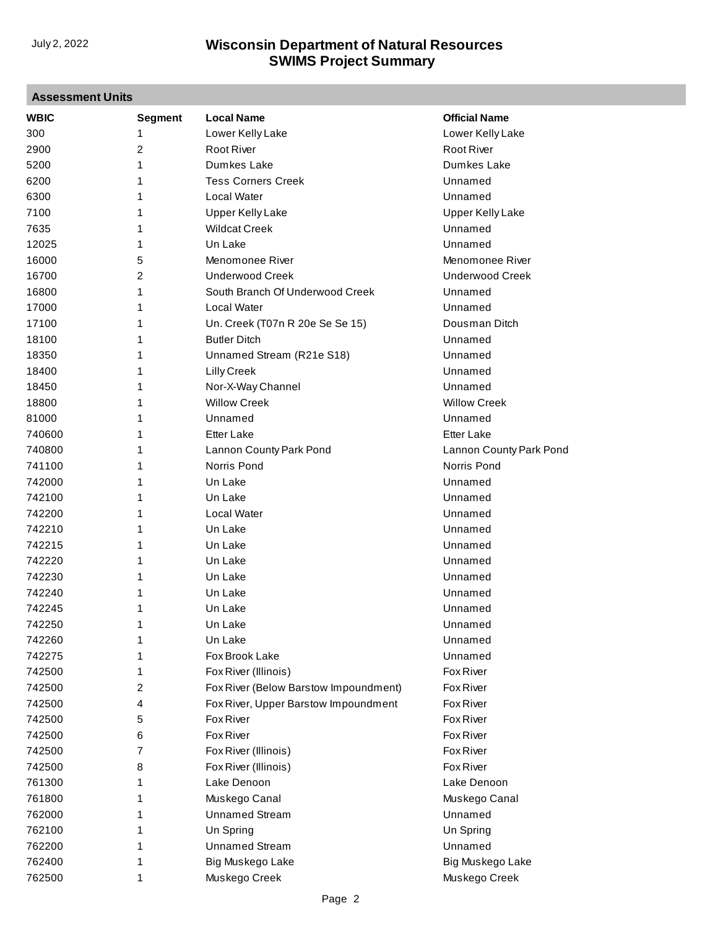| <b>Assessment Units</b> |                |                                       |                         |  |  |
|-------------------------|----------------|---------------------------------------|-------------------------|--|--|
| <b>WBIC</b>             | <b>Segment</b> | <b>Local Name</b>                     | <b>Official Name</b>    |  |  |
| 300                     | 1              | Lower Kelly Lake                      | Lower Kelly Lake        |  |  |
| 2900                    | $\overline{2}$ | <b>Root River</b>                     | <b>Root River</b>       |  |  |
| 5200                    | 1              | Dumkes Lake                           | Dumkes Lake             |  |  |
| 6200                    | 1              | <b>Tess Corners Creek</b>             | Unnamed                 |  |  |
| 6300                    | 1              | <b>Local Water</b>                    | Unnamed                 |  |  |
| 7100                    | 1              | <b>Upper Kelly Lake</b>               | <b>Upper Kelly Lake</b> |  |  |
| 7635                    | 1              | <b>Wildcat Creek</b>                  | Unnamed                 |  |  |
| 12025                   | 1              | Un Lake                               | Unnamed                 |  |  |
| 16000                   | 5              | Menomonee River                       | Menomonee River         |  |  |
| 16700                   | $\overline{2}$ | <b>Underwood Creek</b>                | <b>Underwood Creek</b>  |  |  |
| 16800                   | 1              | South Branch Of Underwood Creek       | Unnamed                 |  |  |
| 17000                   | 1              | Local Water                           | Unnamed                 |  |  |
| 17100                   | 1              | Un. Creek (T07n R 20e Se Se 15)       | Dousman Ditch           |  |  |
| 18100                   | 1              | <b>Butler Ditch</b>                   | Unnamed                 |  |  |
| 18350                   | 1              | Unnamed Stream (R21e S18)             | Unnamed                 |  |  |
| 18400                   | 1              | <b>Lilly Creek</b>                    | Unnamed                 |  |  |
| 18450                   | 1              | Nor-X-Way Channel                     | Unnamed                 |  |  |
| 18800                   | 1              | <b>Willow Creek</b>                   | <b>Willow Creek</b>     |  |  |
| 81000                   | 1              | Unnamed                               | Unnamed                 |  |  |
| 740600                  | 1              | <b>Etter Lake</b>                     | <b>Etter Lake</b>       |  |  |
| 740800                  | 1              | Lannon County Park Pond               | Lannon County Park Pond |  |  |
| 741100                  | 1              | Norris Pond                           | Norris Pond             |  |  |
| 742000                  | 1              | Un Lake                               | Unnamed                 |  |  |
| 742100                  | 1              | Un Lake                               | Unnamed                 |  |  |
| 742200                  | 1              | <b>Local Water</b>                    | Unnamed                 |  |  |
| 742210                  | 1              | Un Lake                               | Unnamed                 |  |  |
| 742215                  | 1              | Un Lake                               | Unnamed                 |  |  |
| 742220                  | 1              | Un Lake                               | Unnamed                 |  |  |
| 742230                  | 1              | Un Lake                               | Unnamed                 |  |  |
| 742240                  |                | Un Lake                               | Unnamed                 |  |  |
| 742245                  | 1<br>1         |                                       |                         |  |  |
|                         |                | Un Lake                               | Unnamed                 |  |  |
| 742250                  | 1              | Un Lake<br>Un Lake                    | Unnamed                 |  |  |
| 742260                  | 1              |                                       | Unnamed                 |  |  |
| 742275                  | 1              | Fox Brook Lake                        | Unnamed                 |  |  |
| 742500                  | 1              | Fox River (Illinois)                  | Fox River               |  |  |
| 742500                  | 2              | Fox River (Below Barstow Impoundment) | Fox River               |  |  |
| 742500                  | 4              | Fox River, Upper Barstow Impoundment  | Fox River               |  |  |
| 742500                  | 5              | Fox River                             | Fox River               |  |  |
| 742500                  | 6              | Fox River                             | Fox River               |  |  |
| 742500                  | 7              | Fox River (Illinois)                  | Fox River               |  |  |
| 742500                  | 8              | Fox River (Illinois)                  | <b>Fox River</b>        |  |  |
| 761300                  | 1              | Lake Denoon                           | Lake Denoon             |  |  |
| 761800                  | 1              | Muskego Canal                         | Muskego Canal           |  |  |
| 762000                  | 1              | <b>Unnamed Stream</b>                 | Unnamed                 |  |  |
| 762100                  | 1              | Un Spring                             | Un Spring               |  |  |
| 762200                  | 1              | <b>Unnamed Stream</b>                 | Unnamed                 |  |  |
| 762400                  | 1              | Big Muskego Lake                      | Big Muskego Lake        |  |  |
| 762500                  | 1              | Muskego Creek                         | Muskego Creek           |  |  |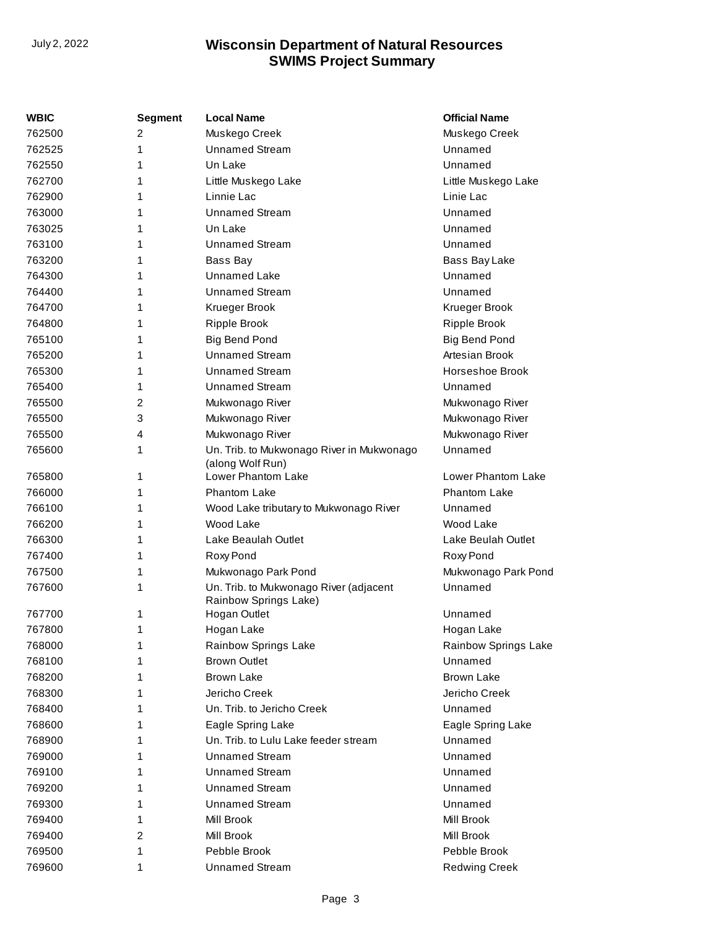| WBIC   | <b>Segment</b> | <b>Local Name</b>                                               | <b>Official Name</b> |
|--------|----------------|-----------------------------------------------------------------|----------------------|
| 762500 | 2              | Muskego Creek                                                   | Muskego Creek        |
| 762525 | 1              | <b>Unnamed Stream</b>                                           | Unnamed              |
| 762550 | 1              | Un Lake                                                         | Unnamed              |
| 762700 | 1              | Little Muskego Lake                                             | Little Muskego Lake  |
| 762900 | 1              | Linnie Lac                                                      | Linie Lac            |
| 763000 | 1              | <b>Unnamed Stream</b>                                           | Unnamed              |
| 763025 | 1              | Un Lake                                                         | Unnamed              |
| 763100 | 1              | <b>Unnamed Stream</b>                                           | Unnamed              |
| 763200 | 1              | Bass Bay                                                        | Bass Bay Lake        |
| 764300 | 1              | <b>Unnamed Lake</b>                                             | Unnamed              |
| 764400 | 1              | <b>Unnamed Stream</b>                                           | Unnamed              |
| 764700 | 1              | Krueger Brook                                                   | Krueger Brook        |
| 764800 | 1              | <b>Ripple Brook</b>                                             | <b>Ripple Brook</b>  |
| 765100 | 1              | Big Bend Pond                                                   | <b>Big Bend Pond</b> |
| 765200 | 1              | <b>Unnamed Stream</b>                                           | Artesian Brook       |
| 765300 | 1              | <b>Unnamed Stream</b>                                           | Horseshoe Brook      |
| 765400 | 1              | <b>Unnamed Stream</b>                                           | Unnamed              |
| 765500 | 2              | Mukwonago River                                                 | Mukwonago River      |
| 765500 | 3              | Mukwonago River                                                 | Mukwonago River      |
| 765500 | 4              | Mukwonago River                                                 | Mukwonago River      |
| 765600 | 1              | Un. Trib. to Mukwonago River in Mukwonago                       | Unnamed              |
|        |                | (along Wolf Run)                                                |                      |
| 765800 | 1              | Lower Phantom Lake                                              | Lower Phantom Lake   |
| 766000 | 1              | <b>Phantom Lake</b>                                             | Phantom Lake         |
| 766100 | 1              | Wood Lake tributary to Mukwonago River                          | Unnamed              |
| 766200 | 1              | Wood Lake                                                       | Wood Lake            |
| 766300 | 1              | Lake Beaulah Outlet                                             | Lake Beulah Outlet   |
| 767400 | 1              | Roxy Pond                                                       | Roxy Pond            |
| 767500 | 1              | Mukwonago Park Pond                                             | Mukwonago Park Pond  |
| 767600 | 1              | Un. Trib. to Mukwonago River (adjacent<br>Rainbow Springs Lake) | Unnamed              |
| 767700 | 1              | Hogan Outlet                                                    | Unnamed              |
| 767800 | 1              | Hogan Lake                                                      | Hogan Lake           |
| 768000 | 1              | Rainbow Springs Lake                                            | Rainbow Springs Lake |
| 768100 | 1              | <b>Brown Outlet</b>                                             | Unnamed              |
| 768200 | 1              | <b>Brown Lake</b>                                               | <b>Brown Lake</b>    |
| 768300 | 1              | Jericho Creek                                                   | Jericho Creek        |
| 768400 | 1              | Un. Trib. to Jericho Creek                                      | Unnamed              |
| 768600 | 1              | Eagle Spring Lake                                               | Eagle Spring Lake    |
| 768900 | 1              | Un. Trib. to Lulu Lake feeder stream                            | Unnamed              |
| 769000 | 1              | <b>Unnamed Stream</b>                                           | Unnamed              |
| 769100 | 1              | <b>Unnamed Stream</b>                                           | Unnamed              |
| 769200 | 1              | <b>Unnamed Stream</b>                                           | Unnamed              |
| 769300 | 1              | <b>Unnamed Stream</b>                                           | Unnamed              |
| 769400 | 1              | Mill Brook                                                      | Mill Brook           |
| 769400 | 2              | Mill Brook                                                      | Mill Brook           |
| 769500 | 1              | Pebble Brook                                                    | Pebble Brook         |
| 769600 | 1              | <b>Unnamed Stream</b>                                           | <b>Redwing Creek</b> |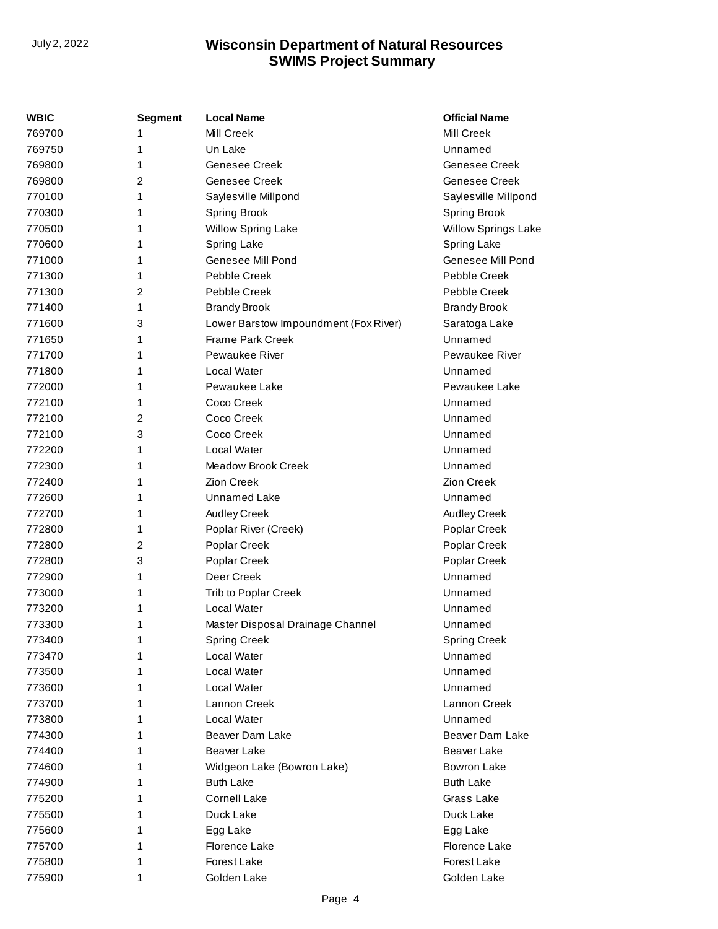| WBIC   | <b>Segment</b> | <b>Local Name</b>                     | <b>Official Name</b>       |
|--------|----------------|---------------------------------------|----------------------------|
| 769700 | 1              | Mill Creek                            | Mill Creek                 |
| 769750 | 1              | Un Lake                               | Unnamed                    |
| 769800 | 1              | Genesee Creek                         | Genesee Creek              |
| 769800 | 2              | Genesee Creek                         | Genesee Creek              |
| 770100 | 1              | Sayles ville Millpond                 | Saylesville Millpond       |
| 770300 | 1              | <b>Spring Brook</b>                   | <b>Spring Brook</b>        |
| 770500 | 1              | <b>Willow Spring Lake</b>             | <b>Willow Springs Lake</b> |
| 770600 | 1              | <b>Spring Lake</b>                    | Spring Lake                |
| 771000 | 1              | Genesee Mill Pond                     | Genesee Mill Pond          |
| 771300 | 1              | Pebble Creek                          | Pebble Creek               |
| 771300 | 2              | Pebble Creek                          | Pebble Creek               |
| 771400 | 1              | <b>Brandy Brook</b>                   | <b>Brandy Brook</b>        |
| 771600 | 3              | Lower Barstow Impoundment (Fox River) | Saratoga Lake              |
| 771650 | 1              | <b>Frame Park Creek</b>               | Unnamed                    |
| 771700 | 1              | Pewaukee River                        | <b>Pewaukee River</b>      |
| 771800 | 1              | Local Water                           | Unnamed                    |
| 772000 | 1              | Pewaukee Lake                         | Pewaukee Lake              |
| 772100 | 1              | Coco Creek                            | Unnamed                    |
| 772100 | 2              | Coco Creek                            | Unnamed                    |
| 772100 | 3              | Coco Creek                            | Unnamed                    |
| 772200 | 1              | Local Water                           | Unnamed                    |
| 772300 | 1              | <b>Meadow Brook Creek</b>             | Unnamed                    |
| 772400 | 1              | <b>Zion Creek</b>                     | Zion Creek                 |
| 772600 | 1              | Unnamed Lake                          | Unnamed                    |
| 772700 | 1              | Audley Creek                          | Audley Creek               |
| 772800 | 1              | Poplar River (Creek)                  | Poplar Creek               |
| 772800 | 2              | Poplar Creek                          | Poplar Creek               |
| 772800 | 3              | Poplar Creek                          | Poplar Creek               |
| 772900 | 1              | Deer Creek                            | Unnamed                    |
| 773000 | 1              | Trib to Poplar Creek                  | Unnamed                    |
| 773200 | 1              | Local Water                           | Unnamed                    |
| 773300 | 1              | Master Disposal Drainage Channel      | Unnamed                    |
| 773400 | 1              | <b>Spring Creek</b>                   | <b>Spring Creek</b>        |
| 773470 | 1              | Local Water                           | Unnamed                    |
| 773500 | 1              | Local Water                           | Unnamed                    |
| 773600 | 1              | Local Water                           | Unnamed                    |
| 773700 | 1              | Lannon Creek                          | Lannon Creek               |
| 773800 | 1              | Local Water                           | Unnamed                    |
| 774300 | 1              | Beaver Dam Lake                       | Beaver Dam Lake            |
| 774400 | 1              | Beaver Lake                           | Beaver Lake                |
| 774600 | 1              | Widgeon Lake (Bowron Lake)            | Bowron Lake                |
| 774900 | 1              | <b>Buth Lake</b>                      | <b>Buth Lake</b>           |
| 775200 | 1              | <b>Cornell Lake</b>                   | Grass Lake                 |
| 775500 | 1              | Duck Lake                             | Duck Lake                  |
| 775600 | 1              | Egg Lake                              | Egg Lake                   |
| 775700 | 1              | Florence Lake                         | Florence Lake              |
| 775800 | 1              | Forest Lake                           | Forest Lake                |
| 775900 | 1              | Golden Lake                           | Golden Lake                |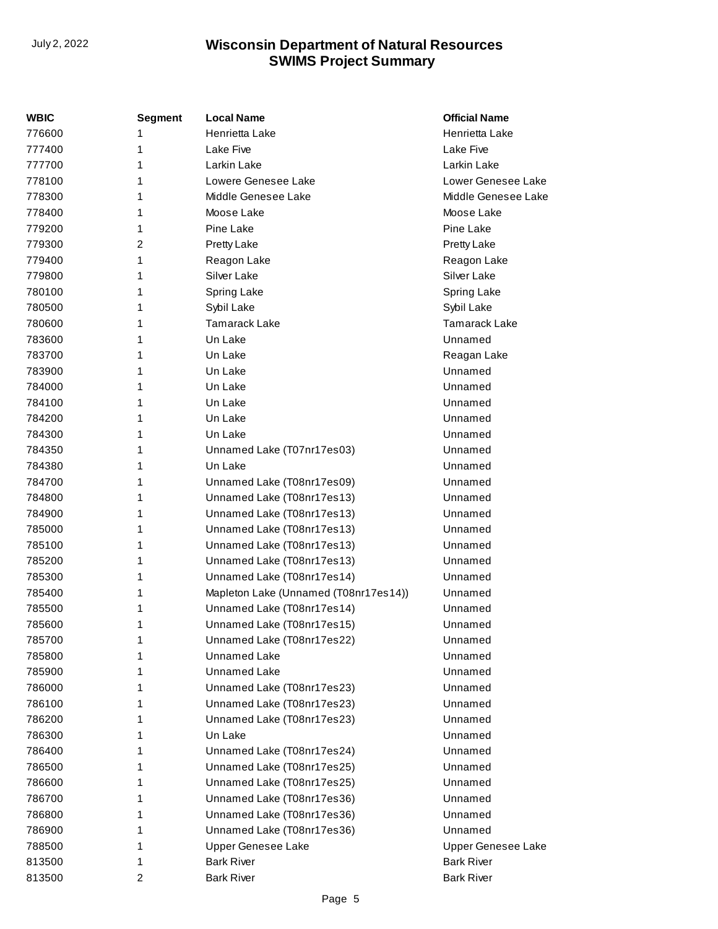| <b>WBIC</b> | <b>Segment</b>          | <b>Local Name</b>                     | <b>Official Name</b> |
|-------------|-------------------------|---------------------------------------|----------------------|
| 776600      | 1                       | Henrietta Lake                        | Henrietta Lake       |
| 777400      | 1                       | Lake Five                             | Lake Five            |
| 777700      | 1                       | Larkin Lake                           | Larkin Lake          |
| 778100      | 1                       | Lowere Genesee Lake                   | Lower Genesee Lake   |
| 778300      | 1                       | Middle Genesee Lake                   | Middle Genesee Lake  |
| 778400      | 1                       | Moose Lake                            | Moose Lake           |
| 779200      | 1                       | Pine Lake                             | Pine Lake            |
| 779300      | 2                       | Pretty Lake                           | <b>Pretty Lake</b>   |
| 779400      | 1                       | Reagon Lake                           | Reagon Lake          |
| 779800      | 1                       | Silver Lake                           | Silver Lake          |
| 780100      | 1                       | Spring Lake                           | Spring Lake          |
| 780500      | 1                       | Sybil Lake                            | Sybil Lake           |
| 780600      | 1                       | <b>Tamarack Lake</b>                  | <b>Tamarack Lake</b> |
| 783600      | 1                       | Un Lake                               | Unnamed              |
| 783700      | 1                       | Un Lake                               | Reagan Lake          |
| 783900      | 1                       | Un Lake                               | Unnamed              |
| 784000      | 1                       | Un Lake                               | Unnamed              |
| 784100      | 1                       | Un Lake                               | Unnamed              |
| 784200      | 1                       | Un Lake                               | Unnamed              |
| 784300      | 1                       | Un Lake                               | Unnamed              |
| 784350      | 1                       | Unnamed Lake (T07nr17es03)            | Unnamed              |
| 784380      | 1                       | Un Lake                               | Unnamed              |
| 784700      | 1                       | Unnamed Lake (T08nr17es09)            | Unnamed              |
| 784800      | 1                       | Unnamed Lake (T08nr17es13)            | Unnamed              |
| 784900      | 1                       | Unnamed Lake (T08nr17es13)            | Unnamed              |
| 785000      | 1                       | Unnamed Lake (T08nr17es13)            | Unnamed              |
| 785100      | 1                       | Unnamed Lake (T08nr17es13)            | Unnamed              |
| 785200      | 1                       | Unnamed Lake (T08nr17es13)            | Unnamed              |
| 785300      | 1                       | Unnamed Lake (T08nr17es14)            | Unnamed              |
| 785400      | 1                       | Mapleton Lake (Unnamed (T08nr17es14)) | Unnamed              |
| 785500      | 1                       | Unnamed Lake (T08nr17es14)            | Unnamed              |
| 785600      | 1                       | Unnamed Lake (T08nr17es15)            | Unnamed              |
| 785700      | 1                       | Unnamed Lake (T08nr17es22)            | Unnamed              |
| 785800      | 1                       | <b>Unnamed Lake</b>                   | Unnamed              |
| 785900      | 1                       | <b>Unnamed Lake</b>                   | Unnamed              |
| 786000      | 1                       | Unnamed Lake (T08nr17es23)            | Unnamed              |
| 786100      | 1                       | Unnamed Lake (T08nr17es23)            | Unnamed              |
| 786200      | 1                       | Unnamed Lake (T08nr17es23)            | Unnamed              |
| 786300      | 1                       | Un Lake                               | Unnamed              |
| 786400      | 1                       | Unnamed Lake (T08nr17es24)            | Unnamed              |
| 786500      | 1                       | Unnamed Lake (T08nr17es25)            | Unnamed              |
| 786600      | 1                       | Unnamed Lake (T08nr17es25)            | Unnamed              |
| 786700      | 1                       | Unnamed Lake (T08nr17es36)            | Unnamed              |
| 786800      | 1                       | Unnamed Lake (T08nr17es36)            | Unnamed              |
| 786900      | 1                       | Unnamed Lake (T08nr17es36)            | Unnamed              |
| 788500      | 1                       | Upper Genesee Lake                    | Upper Genesee Lake   |
| 813500      | 1                       | <b>Bark River</b>                     | <b>Bark River</b>    |
| 813500      | $\overline{\mathbf{c}}$ | <b>Bark River</b>                     | <b>Bark River</b>    |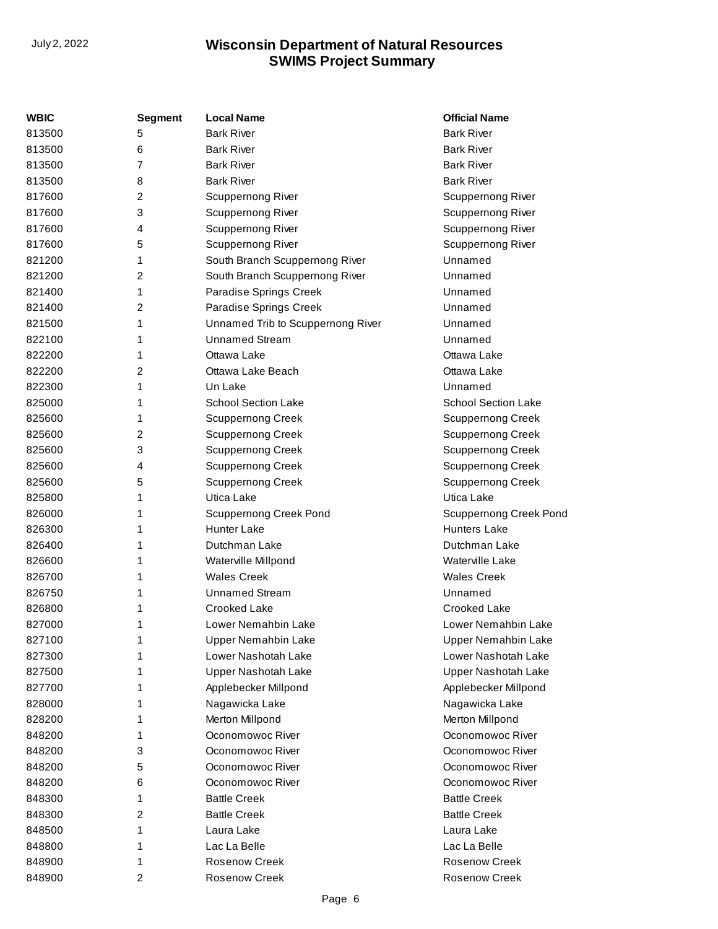| WBIC   | <b>Segment</b>          | <b>Local Name</b>                 | <b>Official Name</b>          |
|--------|-------------------------|-----------------------------------|-------------------------------|
| 813500 | 5                       | <b>Bark River</b>                 | <b>Bark River</b>             |
| 813500 | 6                       | <b>Bark River</b>                 | <b>Bark River</b>             |
| 813500 | $\overline{7}$          | <b>Bark River</b>                 | <b>Bark River</b>             |
| 813500 | 8                       | <b>Bark River</b>                 | <b>Bark River</b>             |
| 817600 | 2                       | <b>Scuppernong River</b>          | <b>Scuppernong River</b>      |
| 817600 | 3                       | Scuppernong River                 | Scuppernong River             |
| 817600 | 4                       | Scuppernong River                 | Scuppernong River             |
| 817600 | 5                       | Scuppernong River                 | Scuppernong River             |
| 821200 | 1                       | South Branch Scuppernong River    | Unnamed                       |
| 821200 | $\overline{c}$          | South Branch Scuppernong River    | Unnamed                       |
| 821400 | 1                       | Paradise Springs Creek            | Unnamed                       |
| 821400 | $\overline{c}$          | Paradise Springs Creek            | Unnamed                       |
| 821500 | 1                       | Unnamed Trib to Scuppernong River | Unnamed                       |
| 822100 | 1                       | <b>Unnamed Stream</b>             | Unnamed                       |
| 822200 | 1                       | Ottawa Lake                       | Ottawa Lake                   |
| 822200 | 2                       | Ottawa Lake Beach                 | Ottawa Lake                   |
| 822300 | 1                       | Un Lake                           | Unnamed                       |
| 825000 | 1                       | <b>School Section Lake</b>        | <b>School Section Lake</b>    |
| 825600 | 1                       | <b>Scuppernong Creek</b>          | <b>Scuppernong Creek</b>      |
| 825600 | $\overline{c}$          | <b>Scuppernong Creek</b>          | <b>Scuppernong Creek</b>      |
| 825600 | 3                       | <b>Scuppernong Creek</b>          | <b>Scuppernong Creek</b>      |
| 825600 | 4                       | <b>Scuppernong Creek</b>          | <b>Scuppernong Creek</b>      |
| 825600 | 5                       | <b>Scuppernong Creek</b>          | <b>Scuppernong Creek</b>      |
| 825800 | 1                       | Utica Lake                        | Utica Lake                    |
| 826000 | 1                       | <b>Scuppernong Creek Pond</b>     | <b>Scuppernong Creek Pond</b> |
| 826300 | 1                       | <b>Hunter Lake</b>                | <b>Hunters Lake</b>           |
| 826400 | 1                       | Dutchman Lake                     | Dutchman Lake                 |
| 826600 | 1                       | Waterville Millpond               | Waterville Lake               |
| 826700 | 1                       | <b>Wales Creek</b>                | <b>Wales Creek</b>            |
| 826750 | 1                       | <b>Unnamed Stream</b>             | Unnamed                       |
| 826800 | 1                       | Crooked Lake                      | Crooked Lake                  |
| 827000 | 1                       | Lower Nemahbin Lake               | Lower Nemahbin Lake           |
| 827100 | 1                       | <b>Upper Nemahbin Lake</b>        | <b>Upper Nemahbin Lake</b>    |
| 827300 | 1                       | Lower Nashotah Lake               | Lower Nashotah Lake           |
| 827500 | 1                       | <b>Upper Nashotah Lake</b>        | Upper Nashotah Lake           |
| 827700 | 1                       | Applebecker Millpond              | Applebecker Millpond          |
| 828000 | 1                       | Nagawicka Lake                    | Nagawicka Lake                |
| 828200 | 1                       | Merton Millpond                   | Merton Millpond               |
| 848200 | 1                       | Oconomowoc River                  | Oconomowoc River              |
| 848200 | 3                       | Oconomowoc River                  | Oconomowoc River              |
| 848200 | 5                       | Oconomowoc River                  | Oconomowoc River              |
| 848200 | 6                       | Oconomowoc River                  | Oconomowoc River              |
| 848300 | 1                       | <b>Battle Creek</b>               | <b>Battle Creek</b>           |
| 848300 | 2                       | <b>Battle Creek</b>               | <b>Battle Creek</b>           |
| 848500 | 1                       | Laura Lake                        | Laura Lake                    |
| 848800 | 1                       | Lac La Belle                      | Lac La Belle                  |
| 848900 | 1                       | <b>Rosenow Creek</b>              | <b>Rosenow Creek</b>          |
| 848900 | $\overline{\mathbf{c}}$ | Rosenow Creek                     | Rosenow Creek                 |
|        |                         |                                   |                               |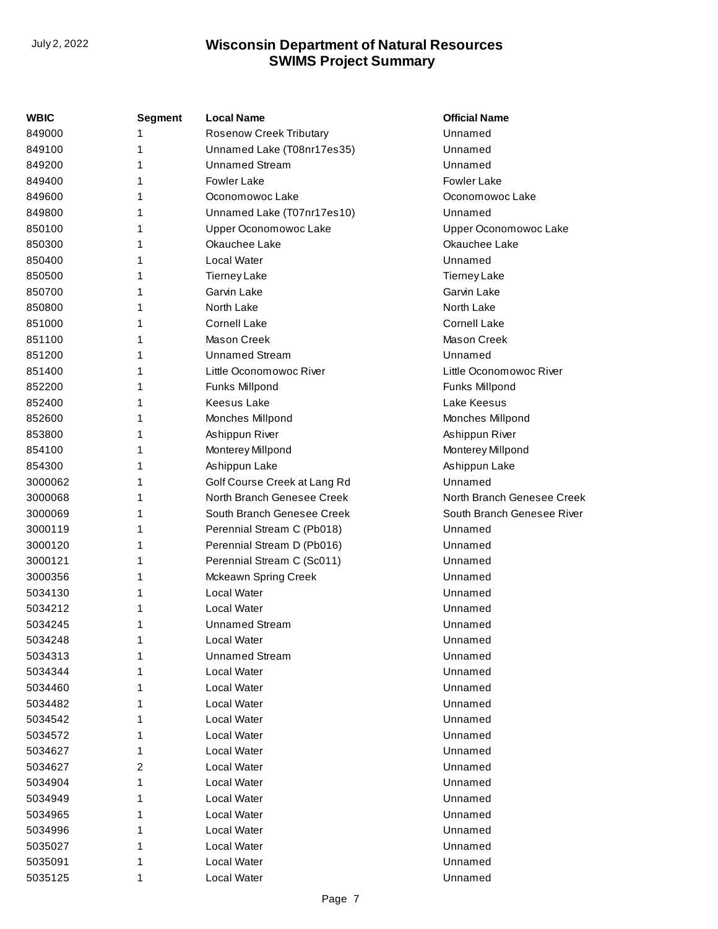| WBIC    | <b>Segment</b> | <b>Local Name</b>              | <b>Official Name</b>       |
|---------|----------------|--------------------------------|----------------------------|
| 849000  |                | <b>Rosenow Creek Tributary</b> | Unnamed                    |
| 849100  | 1              | Unnamed Lake (T08nr17es35)     | Unnamed                    |
| 849200  | 1              | <b>Unnamed Stream</b>          | Unnamed                    |
| 849400  |                | <b>Fowler Lake</b>             | <b>Fowler Lake</b>         |
| 849600  | 1              | Oconomowoc Lake                | Oconomowoc Lake            |
| 849800  | 1              | Unnamed Lake (T07nr17es10)     | Unnamed                    |
| 850100  | 1              | Upper Oconomowoc Lake          | Upper Oconomowoc Lake      |
| 850300  |                | Okauchee Lake                  | Okauchee Lake              |
| 850400  | 1              | Local Water                    | Unnamed                    |
| 850500  | 1              | <b>Tierney Lake</b>            | <b>Tierney Lake</b>        |
| 850700  | 1              | Garvin Lake                    | Garvin Lake                |
| 850800  |                | North Lake                     | North Lake                 |
| 851000  | 1              | <b>Cornell Lake</b>            | <b>Cornell Lake</b>        |
| 851100  | 1              | Mason Creek                    | Mason Creek                |
| 851200  | 1              | <b>Unnamed Stream</b>          | Unnamed                    |
| 851400  |                | Little Oconomowoc River        | Little Oconomowoc River    |
| 852200  | 1              | Funks Millpond                 | Funks Millpond             |
| 852400  | 1              | <b>Keesus Lake</b>             | Lake Keesus                |
| 852600  | 1              | Monches Millpond               | Monches Millpond           |
| 853800  | 1              | Ashippun River                 | Ashippun River             |
| 854100  | 1              | Monterey Millpond              | Monterey Millpond          |
| 854300  | 1              | Ashippun Lake                  | Ashippun Lake              |
| 3000062 | 1              | Golf Course Creek at Lang Rd   | Unnamed                    |
| 3000068 | 1              | North Branch Genesee Creek     | North Branch Genesee Creek |
| 3000069 | 1              | South Branch Genesee Creek     | South Branch Genesee River |
| 3000119 | 1              | Perennial Stream C (Pb018)     | Unnamed                    |
| 3000120 | 1              | Perennial Stream D (Pb016)     | Unnamed                    |
| 3000121 | 1              | Perennial Stream C (Sc011)     | Unnamed                    |
| 3000356 | 1              | Mckeawn Spring Creek           | Unnamed                    |
| 5034130 | 1              | Local Water                    | Unnamed                    |
| 5034212 | 1              | Local Water                    | Unnamed                    |
| 5034245 | 1              | <b>Unnamed Stream</b>          | Unnamed                    |
| 5034248 | 1              | Local Water                    | Unnamed                    |
| 5034313 | 1              | <b>Unnamed Stream</b>          | Unnamed                    |
| 5034344 | 1              | Local Water                    | Unnamed                    |
| 5034460 | 1              | Local Water                    | Unnamed                    |
| 5034482 | 1              | Local Water                    | Unnamed                    |
| 5034542 | 1              | Local Water                    | Unnamed                    |
| 5034572 | 1              | Local Water                    | Unnamed                    |
| 5034627 | 1              | Local Water                    | Unnamed                    |
| 5034627 | 2              | Local Water                    | Unnamed                    |
| 5034904 | 1              | Local Water                    | Unnamed                    |
| 5034949 | 1              | Local Water                    | Unnamed                    |
| 5034965 |                | Local Water                    | Unnamed                    |
| 5034996 | 1              | Local Water                    | Unnamed                    |
| 5035027 | 1              | Local Water                    | Unnamed                    |
| 5035091 | 1              | Local Water                    | Unnamed                    |
| 5035125 | 1              | Local Water                    | Unnamed                    |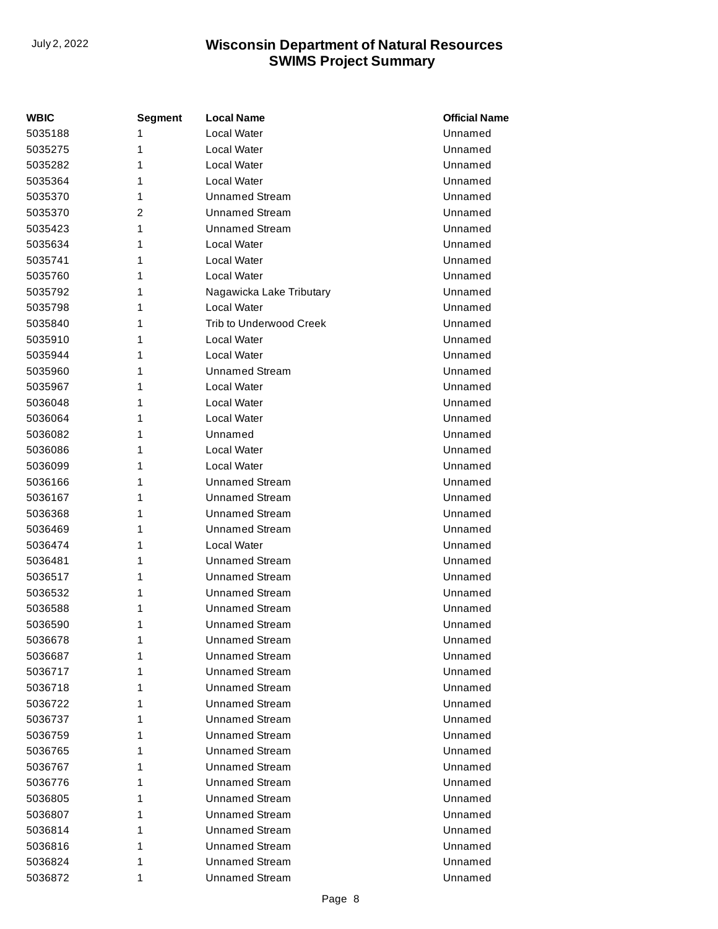| WBIC    | Segment | <b>Local Name</b>              | <b>Official Name</b> |
|---------|---------|--------------------------------|----------------------|
| 5035188 | 1       | Local Water                    | Unnamed              |
| 5035275 | 1       | Local Water                    | Unnamed              |
| 5035282 | 1       | Local Water                    | Unnamed              |
| 5035364 | 1       | Local Water                    | Unnamed              |
| 5035370 | 1       | <b>Unnamed Stream</b>          | Unnamed              |
| 5035370 | 2       | <b>Unnamed Stream</b>          | Unnamed              |
| 5035423 | 1       | <b>Unnamed Stream</b>          | Unnamed              |
| 5035634 | 1       | Local Water                    | Unnamed              |
| 5035741 | 1       | Local Water                    | Unnamed              |
| 5035760 | 1       | Local Water                    | Unnamed              |
| 5035792 | 1       | Nagawicka Lake Tributary       | Unnamed              |
| 5035798 | 1       | Local Water                    | Unnamed              |
| 5035840 | 1       | <b>Trib to Underwood Creek</b> | Unnamed              |
| 5035910 | 1       | Local Water                    | Unnamed              |
| 5035944 | 1       | Local Water                    | Unnamed              |
| 5035960 | 1       | <b>Unnamed Stream</b>          | Unnamed              |
| 5035967 | 1       | Local Water                    | Unnamed              |
| 5036048 | 1       | Local Water                    | Unnamed              |
| 5036064 | 1       | Local Water                    | Unnamed              |
| 5036082 | 1       | Unnamed                        | Unnamed              |
| 5036086 | 1       | Local Water                    | Unnamed              |
| 5036099 | 1       | Local Water                    | Unnamed              |
| 5036166 | 1       | <b>Unnamed Stream</b>          | Unnamed              |
| 5036167 | 1       | <b>Unnamed Stream</b>          | Unnamed              |
| 5036368 | 1       | <b>Unnamed Stream</b>          | Unnamed              |
| 5036469 | 1       | <b>Unnamed Stream</b>          | Unnamed              |
| 5036474 | 1       | Local Water                    | Unnamed              |
| 5036481 | 1       | <b>Unnamed Stream</b>          | Unnamed              |
| 5036517 | 1       | <b>Unnamed Stream</b>          | Unnamed              |
| 5036532 | 1       | <b>Unnamed Stream</b>          | Unnamed              |
| 5036588 | 1       | Unnamed Stream                 | Unnamed              |
| 5036590 | 1       | <b>Unnamed Stream</b>          | Unnamed              |
| 5036678 | 1       | Unnamed Stream                 | Unnamed              |
| 5036687 | 1       | Unnamed Stream                 | Unnamed              |
| 5036717 | 1       | <b>Unnamed Stream</b>          | Unnamed              |
| 5036718 | 1       | <b>Unnamed Stream</b>          | Unnamed              |
| 5036722 | 1       | <b>Unnamed Stream</b>          | Unnamed              |
| 5036737 | 1       | <b>Unnamed Stream</b>          | Unnamed              |
| 5036759 | 1       | <b>Unnamed Stream</b>          | Unnamed              |
| 5036765 | 1       | <b>Unnamed Stream</b>          | Unnamed              |
| 5036767 | 1       | <b>Unnamed Stream</b>          | Unnamed              |
| 5036776 | 1       | <b>Unnamed Stream</b>          | Unnamed              |
| 5036805 | 1       | <b>Unnamed Stream</b>          | Unnamed              |
| 5036807 | 1       | <b>Unnamed Stream</b>          | Unnamed              |
| 5036814 | 1       | <b>Unnamed Stream</b>          | Unnamed              |
| 5036816 | 1       | <b>Unnamed Stream</b>          | Unnamed              |
| 5036824 | 1       | <b>Unnamed Stream</b>          | Unnamed              |
| 5036872 | 1       | <b>Unnamed Stream</b>          | Unnamed              |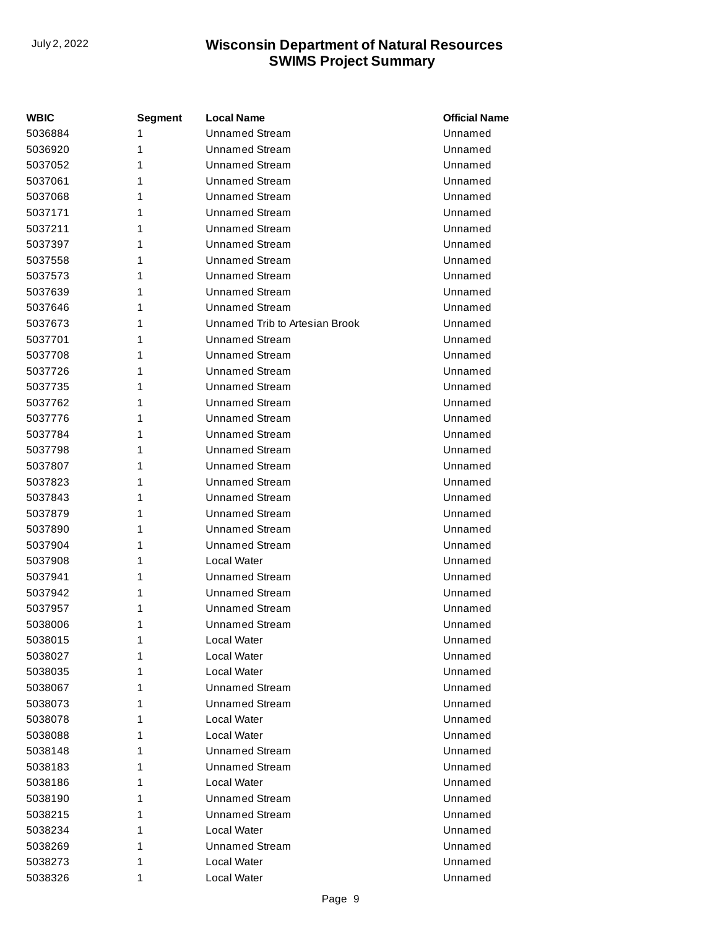| WBIC    | <b>Segment</b> | <b>Local Name</b>              | <b>Official Name</b> |
|---------|----------------|--------------------------------|----------------------|
| 5036884 | 1              | <b>Unnamed Stream</b>          | Unnamed              |
| 5036920 | 1              | <b>Unnamed Stream</b>          | Unnamed              |
| 5037052 | 1              | <b>Unnamed Stream</b>          | Unnamed              |
| 5037061 | 1              | <b>Unnamed Stream</b>          | Unnamed              |
| 5037068 | 1              | <b>Unnamed Stream</b>          | Unnamed              |
| 5037171 | 1              | <b>Unnamed Stream</b>          | Unnamed              |
| 5037211 | 1              | <b>Unnamed Stream</b>          | Unnamed              |
| 5037397 | 1              | <b>Unnamed Stream</b>          | Unnamed              |
| 5037558 | 1              | <b>Unnamed Stream</b>          | Unnamed              |
| 5037573 | 1              | <b>Unnamed Stream</b>          | Unnamed              |
| 5037639 | 1              | <b>Unnamed Stream</b>          | Unnamed              |
| 5037646 | 1              | <b>Unnamed Stream</b>          | Unnamed              |
| 5037673 | 1              | Unnamed Trib to Artesian Brook | Unnamed              |
| 5037701 | 1              | <b>Unnamed Stream</b>          | Unnamed              |
| 5037708 | 1              | <b>Unnamed Stream</b>          | Unnamed              |
| 5037726 | 1              | <b>Unnamed Stream</b>          | Unnamed              |
| 5037735 | 1              | <b>Unnamed Stream</b>          | Unnamed              |
| 5037762 | 1              | <b>Unnamed Stream</b>          | Unnamed              |
| 5037776 | 1              | <b>Unnamed Stream</b>          | Unnamed              |
| 5037784 | 1              | <b>Unnamed Stream</b>          | Unnamed              |
| 5037798 | 1              | <b>Unnamed Stream</b>          | Unnamed              |
| 5037807 | 1              | <b>Unnamed Stream</b>          | Unnamed              |
| 5037823 | 1              | <b>Unnamed Stream</b>          | Unnamed              |
| 5037843 | 1              | <b>Unnamed Stream</b>          | Unnamed              |
| 5037879 | 1              | <b>Unnamed Stream</b>          | Unnamed              |
| 5037890 | 1              | <b>Unnamed Stream</b>          | Unnamed              |
| 5037904 | 1              | <b>Unnamed Stream</b>          | Unnamed              |
| 5037908 | 1              | Local Water                    | Unnamed              |
| 5037941 | 1              | <b>Unnamed Stream</b>          | Unnamed              |
| 5037942 | 1              | <b>Unnamed Stream</b>          | Unnamed              |
| 5037957 | 1              | <b>Unnamed Stream</b>          | Unnamed              |
| 5038006 | 1              | <b>Unnamed Stream</b>          | Unnamed              |
| 5038015 | 1              | Local Water                    | Unnamed              |
| 5038027 | 1              | Local Water                    | Unnamed              |
| 5038035 | 1              | Local Water                    | Unnamed              |
| 5038067 | 1              | <b>Unnamed Stream</b>          | Unnamed              |
| 5038073 | 1              | Unnamed Stream                 | Unnamed              |
| 5038078 | 1              | Local Water                    | Unnamed              |
| 5038088 | 1              | Local Water                    | Unnamed              |
| 5038148 | 1              | Unnamed Stream                 | Unnamed              |
| 5038183 | 1              | <b>Unnamed Stream</b>          | Unnamed              |
| 5038186 | 1              | Local Water                    | Unnamed              |
| 5038190 | 1              | <b>Unnamed Stream</b>          | Unnamed              |
| 5038215 | 1              | Unnamed Stream                 | Unnamed              |
| 5038234 | 1              | Local Water                    | Unnamed              |
| 5038269 | 1              | Unnamed Stream                 | Unnamed              |
| 5038273 | 1              | Local Water                    | Unnamed              |
| 5038326 | 1              | Local Water                    | Unnamed              |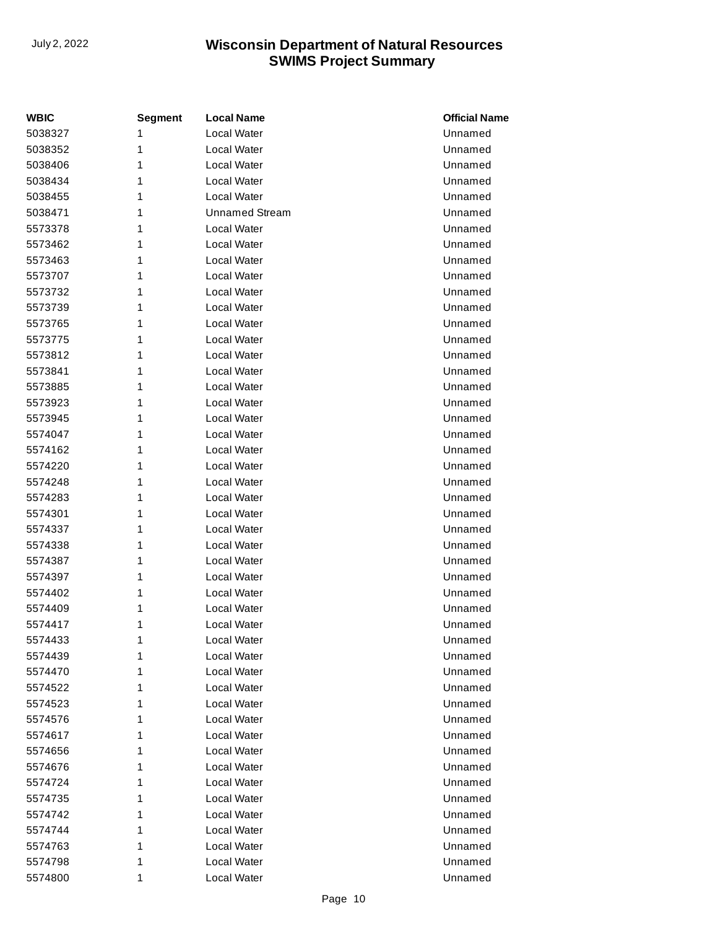| <b>WBIC</b> | <b>Segment</b> | <b>Local Name</b>     | <b>Official Name</b> |
|-------------|----------------|-----------------------|----------------------|
| 5038327     | 1              | Local Water           | Unnamed              |
| 5038352     | 1              | Local Water           | Unnamed              |
| 5038406     | 1              | Local Water           | Unnamed              |
| 5038434     | 1              | Local Water           | Unnamed              |
| 5038455     | 1              | Local Water           | Unnamed              |
| 5038471     | 1              | <b>Unnamed Stream</b> | Unnamed              |
| 5573378     | 1              | Local Water           | Unnamed              |
| 5573462     | 1              | Local Water           | Unnamed              |
| 5573463     | 1              | Local Water           | Unnamed              |
| 5573707     | 1              | Local Water           | Unnamed              |
| 5573732     | 1              | Local Water           | Unnamed              |
| 5573739     | 1              | Local Water           | Unnamed              |
| 5573765     | 1              | Local Water           | Unnamed              |
| 5573775     | 1              | Local Water           | Unnamed              |
| 5573812     | 1              | Local Water           | Unnamed              |
| 5573841     | 1              | Local Water           | Unnamed              |
| 5573885     | 1              | Local Water           | Unnamed              |
| 5573923     | 1              | Local Water           | Unnamed              |
| 5573945     | 1              | Local Water           | Unnamed              |
| 5574047     | 1              | Local Water           | Unnamed              |
| 5574162     | 1              | Local Water           | Unnamed              |
| 5574220     | 1              | Local Water           | Unnamed              |
| 5574248     | 1              | Local Water           | Unnamed              |
| 5574283     | 1              | Local Water           | Unnamed              |
| 5574301     | 1              | Local Water           | Unnamed              |
| 5574337     | 1              | Local Water           | Unnamed              |
| 5574338     | 1              | Local Water           | Unnamed              |
| 5574387     | 1              | Local Water           | Unnamed              |
| 5574397     | 1              | Local Water           | Unnamed              |
| 5574402     | 1              | Local Water           | Unnamed              |
| 5574409     | 1              | Local Water           | Unnamed              |
| 5574417     | 1              | Local Water           | Unnamed              |
| 5574433     | 1              | Local Water           | Unnamed              |
| 5574439     | 1              | Local Water           | Unnamed              |
| 5574470     | 1              | Local Water           | Unnamed              |
| 5574522     | 1              | Local Water           | Unnamed              |
| 5574523     | 1              | Local Water           | Unnamed              |
| 5574576     | 1              | Local Water           | Unnamed              |
| 5574617     | 1              | Local Water           | Unnamed              |
| 5574656     | 1              | Local Water           | Unnamed              |
| 5574676     | 1              | Local Water           | Unnamed              |
| 5574724     | 1              | Local Water           | Unnamed              |
| 5574735     | 1              | Local Water           | Unnamed              |
| 5574742     | 1              | Local Water           | Unnamed              |
| 5574744     | 1              | Local Water           | Unnamed              |
| 5574763     | 1              | Local Water           | Unnamed              |
| 5574798     | 1              | Local Water           | Unnamed              |
| 5574800     | 1              | Local Water           | Unnamed              |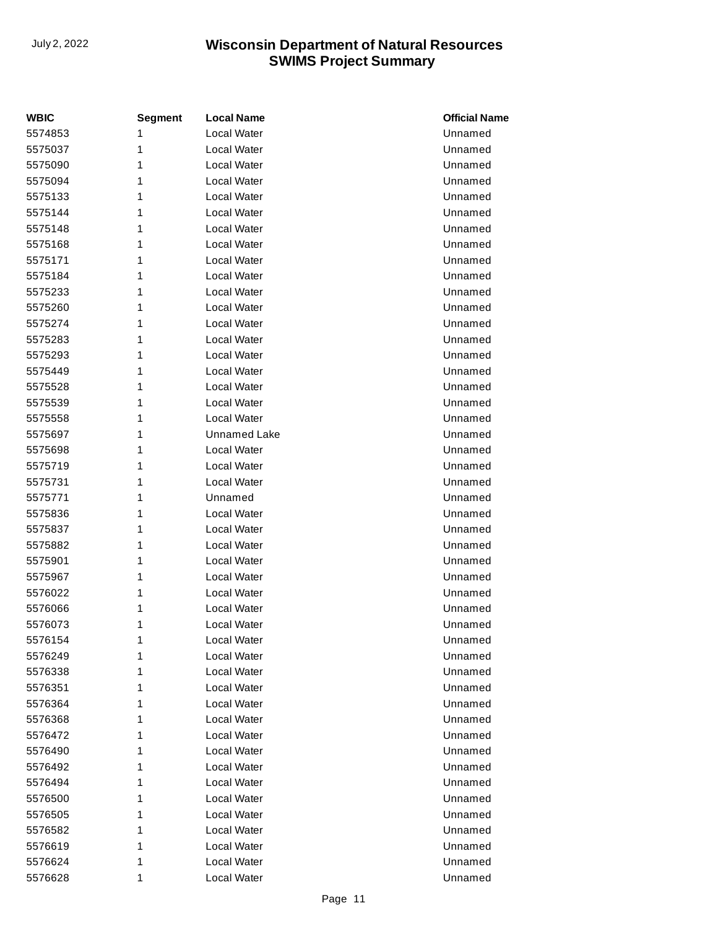| <b>WBIC</b> | <b>Segment</b> | <b>Local Name</b>   | <b>Official Name</b> |
|-------------|----------------|---------------------|----------------------|
| 5574853     | 1              | <b>Local Water</b>  | Unnamed              |
| 5575037     | 1              | Local Water         | Unnamed              |
| 5575090     | 1              | Local Water         | Unnamed              |
| 5575094     | 1              | Local Water         | Unnamed              |
| 5575133     | 1              | Local Water         | Unnamed              |
| 5575144     | 1              | <b>Local Water</b>  | Unnamed              |
| 5575148     | 1              | Local Water         | Unnamed              |
| 5575168     | 1              | Local Water         | Unnamed              |
| 5575171     | 1              | Local Water         | Unnamed              |
| 5575184     | 1              | Local Water         | Unnamed              |
| 5575233     | 1              | Local Water         | Unnamed              |
| 5575260     | 1              | Local Water         | Unnamed              |
| 5575274     | 1              | Local Water         | Unnamed              |
| 5575283     | 1              | <b>Local Water</b>  | Unnamed              |
| 5575293     | 1              | Local Water         | Unnamed              |
| 5575449     | 1              | Local Water         | Unnamed              |
| 5575528     | 1              | Local Water         | Unnamed              |
| 5575539     | 1              | Local Water         | Unnamed              |
| 5575558     | 1              | Local Water         | Unnamed              |
| 5575697     | 1              | <b>Unnamed Lake</b> | Unnamed              |
| 5575698     | 1              | Local Water         | Unnamed              |
| 5575719     | 1              | <b>Local Water</b>  | Unnamed              |
| 5575731     | 1              | Local Water         | Unnamed              |
| 5575771     | 1              | Unnamed             | Unnamed              |
| 5575836     | 1              | Local Water         | Unnamed              |
| 5575837     | 1              | Local Water         | Unnamed              |
| 5575882     | 1              | Local Water         | Unnamed              |
| 5575901     | 1              | Local Water         | Unnamed              |
| 5575967     | 1              | Local Water         | Unnamed              |
| 5576022     | 1              | Local Water         | Unnamed              |
| 5576066     | 1              | Local Water         | Unnamed              |
| 5576073     | 1              | Local Water         | Unnamed              |
| 5576154     | 1              | Local Water         | Unnamed              |
| 5576249     | 1              | Local Water         | Unnamed              |
| 5576338     | 1              | Local Water         | Unnamed              |
| 5576351     | 1              | Local Water         | Unnamed              |
| 5576364     | 1              | Local Water         | Unnamed              |
| 5576368     | 1              | Local Water         | Unnamed              |
| 5576472     | 1              | Local Water         | Unnamed              |
| 5576490     | 1              | Local Water         | Unnamed              |
| 5576492     | 1              | Local Water         | Unnamed              |
| 5576494     | 1              | Local Water         | Unnamed              |
| 5576500     | 1              | Local Water         | Unnamed              |
| 5576505     | 1              | Local Water         | Unnamed              |
| 5576582     | 1              | Local Water         | Unnamed              |
| 5576619     | 1              | Local Water         | Unnamed              |
| 5576624     | 1              | Local Water         | Unnamed              |
| 5576628     | 1              | Local Water         | Unnamed              |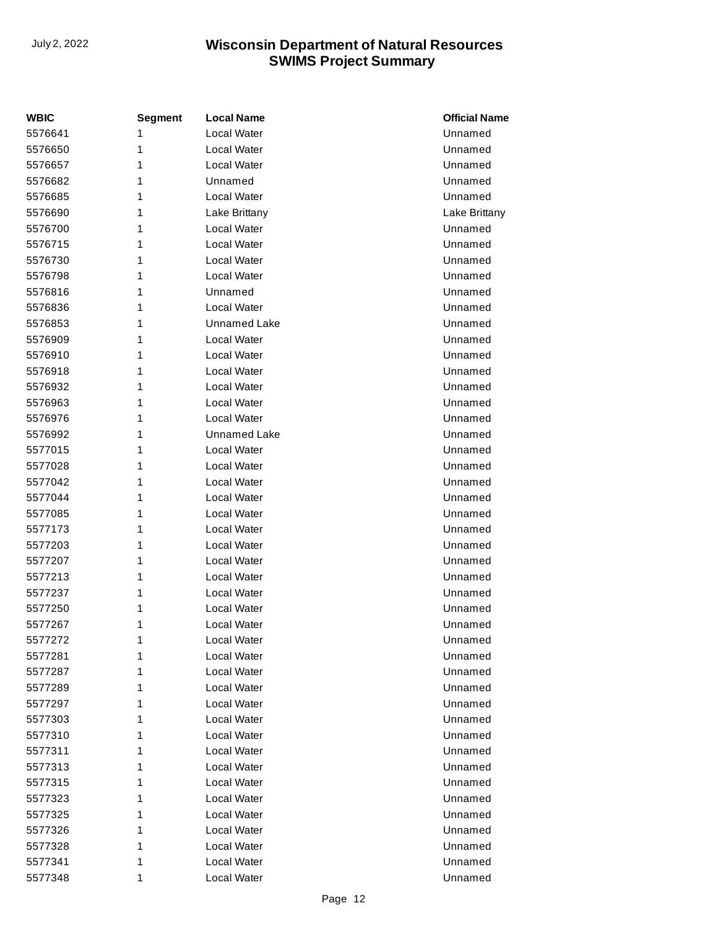| <b>WBIC</b> | <b>Segment</b> | <b>Local Name</b>   | <b>Official Name</b> |
|-------------|----------------|---------------------|----------------------|
| 5576641     | 1              | Local Water         | Unnamed              |
| 5576650     | 1              | Local Water         | Unnamed              |
| 5576657     | 1              | Local Water         | Unnamed              |
| 5576682     | 1              | Unnamed             | Unnamed              |
| 5576685     | 1              | Local Water         | Unnamed              |
| 5576690     | 1              | Lake Brittany       | Lake Brittany        |
| 5576700     | 1              | Local Water         | Unnamed              |
| 5576715     | 1              | Local Water         | Unnamed              |
| 5576730     | 1              | Local Water         | Unnamed              |
| 5576798     | 1              | Local Water         | Unnamed              |
| 5576816     | 1              | Unnamed             | Unnamed              |
| 5576836     | 1              | Local Water         | Unnamed              |
| 5576853     | 1              | <b>Unnamed Lake</b> | Unnamed              |
| 5576909     | 1              | Local Water         | Unnamed              |
| 5576910     | 1              | Local Water         | Unnamed              |
| 5576918     | 1              | Local Water         | Unnamed              |
| 5576932     | 1              | Local Water         | Unnamed              |
| 5576963     | 1              | Local Water         | Unnamed              |
| 5576976     | 1              | Local Water         | Unnamed              |
| 5576992     | 1              | Unnamed Lake        | Unnamed              |
| 5577015     | 1              | Local Water         | Unnamed              |
| 5577028     | 1              | Local Water         | Unnamed              |
| 5577042     | 1              | Local Water         | Unnamed              |
| 5577044     | 1              | Local Water         | Unnamed              |
| 5577085     | 1              | Local Water         | Unnamed              |
| 5577173     | 1              | Local Water         | Unnamed              |
| 5577203     | 1              | Local Water         | Unnamed              |
| 5577207     | 1              | Local Water         | Unnamed              |
| 5577213     | 1              | Local Water         | Unnamed              |
| 5577237     | 1              | Local Water         | Unnamed              |
| 5577250     | 1              | Local Water         | Unnamed              |
| 5577267     | 1              | Local Water         | Unnamed              |
| 5577272     | 1              | Local Water         | Unnamed              |
| 5577281     | 1              | Local Water         | Unnamed              |
| 5577287     | 1              | Local Water         | Unnamed              |
| 5577289     | 1              | Local Water         | Unnamed              |
| 5577297     | 1              | Local Water         | Unnamed              |
| 5577303     | 1              | Local Water         | Unnamed              |
| 5577310     | 1              | Local Water         | Unnamed              |
| 5577311     | 1              | Local Water         | Unnamed              |
| 5577313     | 1              | Local Water         | Unnamed              |
| 5577315     | 1              | Local Water         | Unnamed              |
| 5577323     | 1              | Local Water         | Unnamed              |
| 5577325     | 1              | Local Water         | Unnamed              |
| 5577326     | 1              | Local Water         | Unnamed              |
| 5577328     | 1              | Local Water         | Unnamed              |
| 5577341     | 1              | Local Water         | Unnamed              |
| 5577348     | 1              | Local Water         | Unnamed              |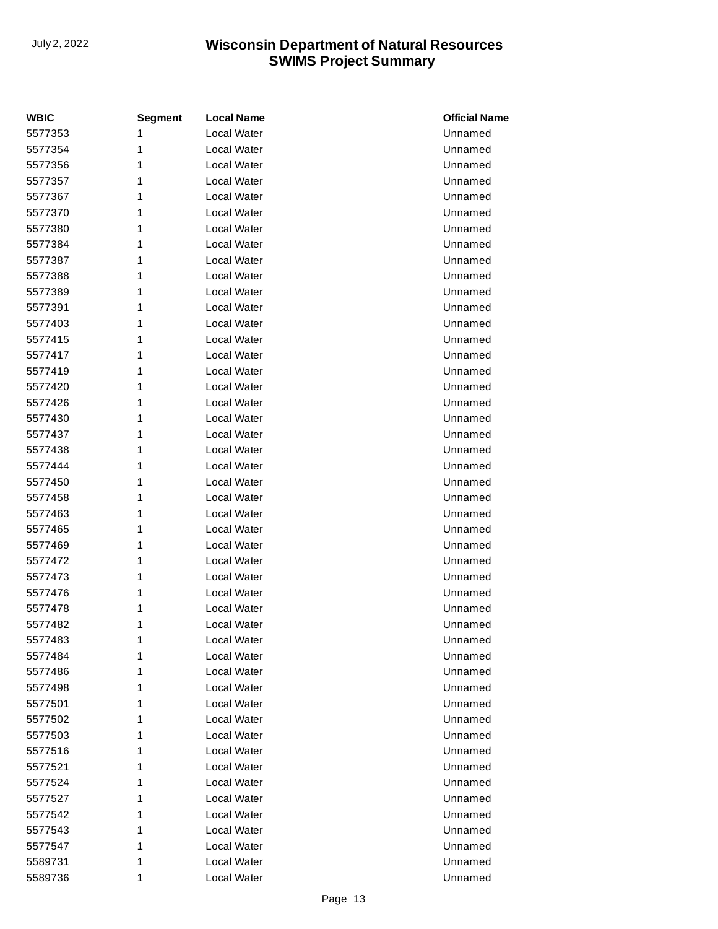| <b>WBIC</b> | <b>Segment</b> | <b>Local Name</b>  | <b>Official Name</b> |
|-------------|----------------|--------------------|----------------------|
| 5577353     | 1              | Local Water        | Unnamed              |
| 5577354     | 1              | Local Water        | Unnamed              |
| 5577356     | 1              | Local Water        | Unnamed              |
| 5577357     | 1              | Local Water        | Unnamed              |
| 5577367     | 1              | Local Water        | Unnamed              |
| 5577370     | 1              | Local Water        | Unnamed              |
| 5577380     | 1              | Local Water        | Unnamed              |
| 5577384     | 1              | Local Water        | Unnamed              |
| 5577387     | 1              | Local Water        | Unnamed              |
| 5577388     | 1              | Local Water        | Unnamed              |
| 5577389     | 1              | Local Water        | Unnamed              |
| 5577391     | 1              | Local Water        | Unnamed              |
| 5577403     | 1              | Local Water        | Unnamed              |
| 5577415     | 1              | <b>Local Water</b> | Unnamed              |
| 5577417     | 1              | Local Water        | Unnamed              |
| 5577419     | 1              | Local Water        | Unnamed              |
| 5577420     | 1              | Local Water        | Unnamed              |
| 5577426     | 1              | Local Water        | Unnamed              |
| 5577430     | 1              | Local Water        | Unnamed              |
| 5577437     | 1              | Local Water        | Unnamed              |
| 5577438     | 1              | Local Water        | Unnamed              |
| 5577444     | 1              | <b>Local Water</b> | Unnamed              |
| 5577450     | 1              | Local Water        | Unnamed              |
| 5577458     | 1              | <b>Local Water</b> | Unnamed              |
| 5577463     | 1              | Local Water        | Unnamed              |
| 5577465     | 1              | Local Water        | Unnamed              |
| 5577469     | 1              | Local Water        | Unnamed              |
| 5577472     | 1              | Local Water        | Unnamed              |
| 5577473     | 1              | Local Water        | Unnamed              |
| 5577476     | 1              | Local Water        | Unnamed              |
| 5577478     | 1              | Local Water        | Unnamed              |
| 5577482     | 1              | Local Water        | Unnamed              |
| 5577483     | 1              | Local Water        | Unnamed              |
| 5577484     | 1              | Local Water        | Unnamed              |
| 5577486     | 1              | Local Water        | Unnamed              |
| 5577498     | 1              | Local Water        | Unnamed              |
| 5577501     | 1              | Local Water        | Unnamed              |
| 5577502     | 1              | Local Water        | Unnamed              |
| 5577503     | 1              | Local Water        | Unnamed              |
| 5577516     | 1              | Local Water        | Unnamed              |
| 5577521     | 1              | Local Water        | Unnamed              |
| 5577524     | 1              | Local Water        | Unnamed              |
| 5577527     | 1              | Local Water        | Unnamed              |
| 5577542     | 1              | Local Water        | Unnamed              |
| 5577543     | 1              | Local Water        | Unnamed              |
| 5577547     | 1              | Local Water        | Unnamed              |
| 5589731     | 1              | Local Water        | Unnamed              |
| 5589736     | 1              | Local Water        | Unnamed              |